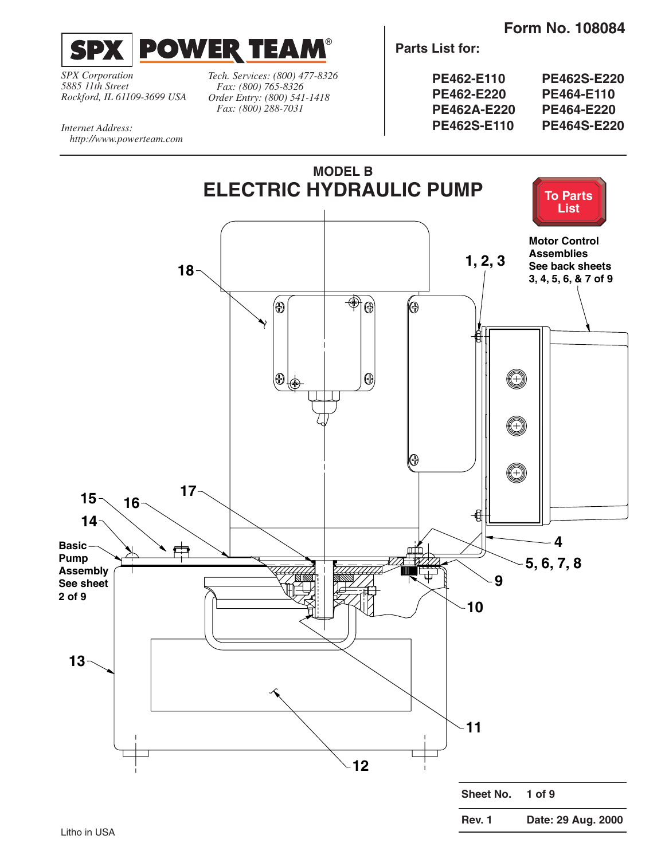<span id="page-0-0"></span>

*SPX Corporation 5885 11th Street Rockford, IL 61109-3699 USA*

*http://www.powerteam.com*

*Internet Address:*

*Tech. Services: (800) 477-8326 Fax: (800) 765-8326 Order Entry: (800) 541-1418 Fax: (800) 288-7031*

®

**Parts List for:**

| PE462-E110         | PE462S-E220        |
|--------------------|--------------------|
| PE462-E220         | PE464-E110         |
| <b>PE462A-E220</b> | PE464-E220         |
| <b>PE462S-E110</b> | <b>PE464S-E220</b> |

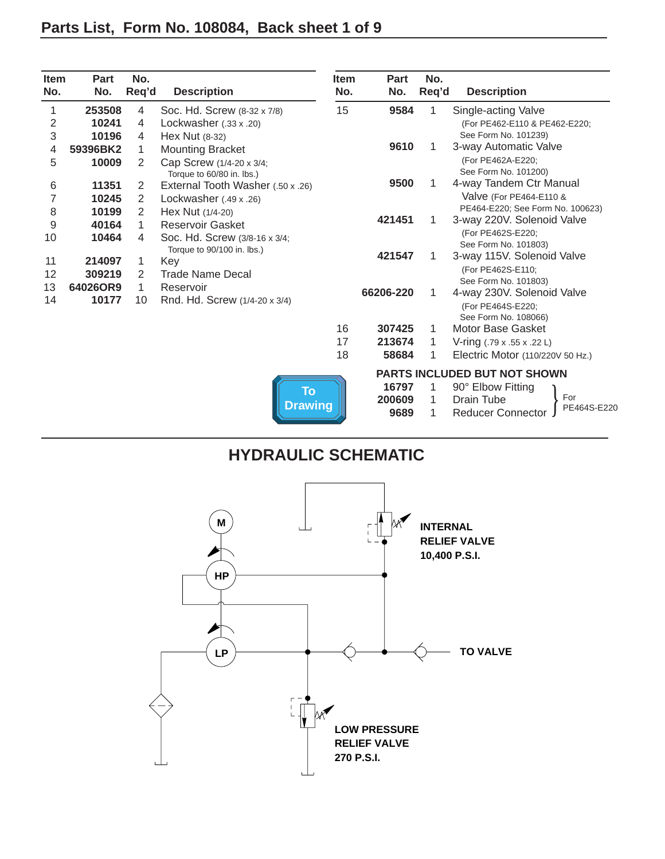<span id="page-1-0"></span>

| <b>Item</b><br>No. | <b>Part</b><br>No. | No.<br>Req'd   | <b>Description</b>                                          | <b>Item</b><br>No. | <b>Part</b><br>No. | No.<br>Req'd | <b>Description</b>                              |
|--------------------|--------------------|----------------|-------------------------------------------------------------|--------------------|--------------------|--------------|-------------------------------------------------|
| 1                  | 253508             | 4              | Soc. Hd. Screw (8-32 x 7/8)                                 | 15                 | 9584               |              | Single-acting Valve                             |
| 2                  | 10241              | 4              | Lockwasher $(.33 \times .20)$                               |                    |                    |              | (For PE462-E110 & PE462-E220;                   |
| 3                  | 10196              | 4              | Hex Nut (8-32)                                              |                    |                    |              | See Form No. 101239)                            |
| 4                  | 59396BK2           | 1              | <b>Mounting Bracket</b>                                     |                    | 9610               | 1            | 3-way Automatic Valve                           |
| 5                  | 10009              | 2              | Cap Screw (1/4-20 x 3/4;<br>Torque to 60/80 in. lbs.)       |                    |                    |              | (For PE462A-E220;<br>See Form No. 101200)       |
| 6                  | 11351              | $\overline{2}$ | External Tooth Washer (.50 x .26)                           |                    | 9500               | 1            | 4-way Tandem Ctr Manual                         |
| 7                  | 10245              | $\overline{2}$ | Lockwasher (.49 x .26)                                      |                    |                    |              | Valve (For PE464-E110 &                         |
| 8                  | 10199              | 2              | Hex Nut (1/4-20)                                            |                    |                    |              | PE464-E220; See Form No. 100623)                |
| 9                  | 40164              | 1.             | <b>Reservoir Gasket</b>                                     |                    | 421451             | 1            | 3-way 220V. Solenoid Valve                      |
| 10                 | 10464              | 4              | Soc. Hd. Screw (3/8-16 x 3/4;<br>Torque to 90/100 in. lbs.) |                    |                    |              | (For PE462S-E220;<br>See Form No. 101803)       |
| 11                 | 214097             | 1.             | Key                                                         |                    | 421547             | 1            | 3-way 115V. Solenoid Valve                      |
| 12                 | 309219             | 2              | <b>Trade Name Decal</b>                                     |                    |                    |              | (For PE462S-E110;                               |
| 13                 | 64026OR9           | 1              | Reservoir                                                   |                    |                    |              | See Form No. 101803)                            |
| 14                 | 10177              | 10             | Rnd. Hd. Screw (1/4-20 x 3/4)                               |                    | 66206-220          | $\mathbf{1}$ | 4-way 230V. Solenoid Valve<br>(For PE464S-E220; |
|                    |                    |                |                                                             |                    | 307425             |              | See Form No. 108066)                            |
|                    |                    |                |                                                             | 16                 |                    | 1            | Motor Base Gasket                               |
|                    |                    |                |                                                             | 17                 | 213674             | 1            | V-ring $(.79 \times .55 \times .22 \text{ L})$  |
|                    |                    |                |                                                             | 18                 | 58684              |              | Electric Motor (110/220V 50 Hz.)                |
|                    |                    |                |                                                             |                    |                    |              | PARTS INCLUDED BUT NOT SHOWN                    |
|                    |                    |                | <b>To</b>                                                   |                    | 16797              | 1            | 90° Elbow Fitting                               |
|                    |                    |                | <b>Drawing</b>                                              |                    | 200609             | 1            | For<br>Drain Tube                               |
|                    |                    |                |                                                             |                    | 9689               | 1            | PE464S-E220<br><b>Reducer Connector</b>         |

### **HYDRAULIC SCHEMATIC**

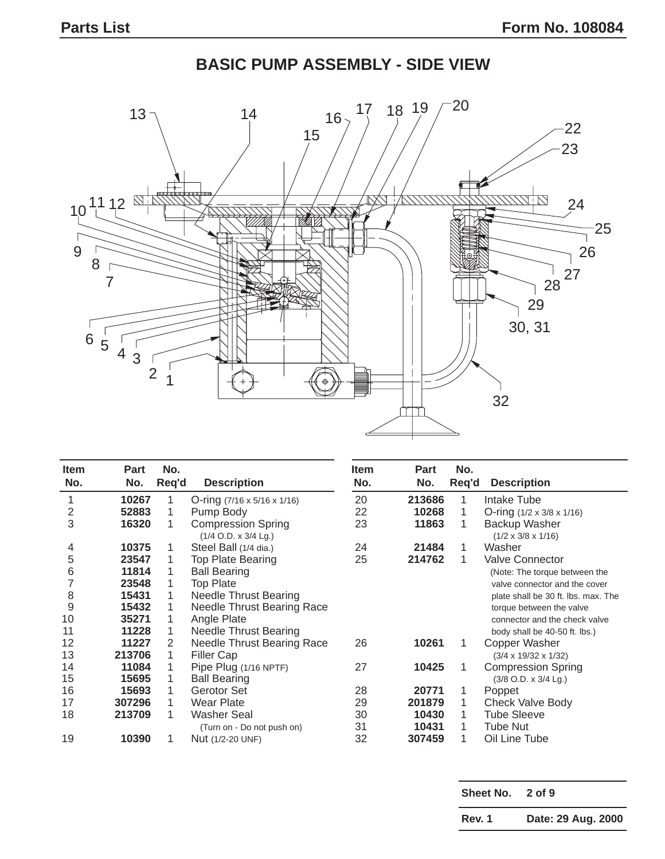#### **BASIC PUMP ASSEMBLY - SIDE VIEW**  $16 \frac{17}{9}$  18 19  $\frac{19}{20}$  $13 \text{ } \sqrt{ }$   $10^{11}$  12  $\overline{M}$  30, 31  $6\frac{1}{5}\sqrt{4\frac{1}{3}}$  $\begin{bmatrix} 2 & 1 \\ 1 & 2 \end{bmatrix}$ ∓⊕  $\ddot{}$

 $\blacksquare$ 

| <b>Item</b> | Part   | No.   |                                                   | <b>Item</b> | Part   | No.   |                                                 |
|-------------|--------|-------|---------------------------------------------------|-------------|--------|-------|-------------------------------------------------|
| No.         | No.    | Req'd | <b>Description</b>                                | No.         | No.    | Req'd | <b>Description</b>                              |
|             | 10267  |       | O-ring $(7/16 \times 5/16 \times 1/16)$           | 20          | 213686 |       | Intake Tube                                     |
| 2           | 52883  | 1     | Pump Body                                         | 22          | 10268  |       | O-ring $(1/2 \times 3/8 \times 1/16)$           |
| 3           | 16320  |       | <b>Compression Spring</b><br>(1/4 O.D. x 3/4 Lg.) | 23          | 11863  |       | Backup Washer<br>$(1/2 \times 3/8 \times 1/16)$ |
| 4           | 10375  |       | Steel Ball (1/4 dia.)                             | 24          | 21484  |       | Washer                                          |
| 5           | 23547  |       | <b>Top Plate Bearing</b>                          | 25          | 214762 |       | <b>Valve Connector</b>                          |
| 6           | 11814  |       | <b>Ball Bearing</b>                               |             |        |       | (Note: The torque between the                   |
|             | 23548  |       | <b>Top Plate</b>                                  |             |        |       | valve connector and the cover                   |
| 8           | 15431  |       | <b>Needle Thrust Bearing</b>                      |             |        |       | plate shall be 30 ft. lbs. max. The             |
| 9           | 15432  |       | <b>Needle Thrust Bearing Race</b>                 |             |        |       | torque between the valve                        |
| 10          | 35271  |       | Angle Plate                                       |             |        |       | connector and the check valve                   |
| 11          | 11228  | 1     | <b>Needle Thrust Bearing</b>                      |             |        |       | body shall be 40-50 ft. lbs.)                   |
| 12          | 11227  | 2     | <b>Needle Thrust Bearing Race</b>                 | 26          | 10261  |       | <b>Copper Washer</b>                            |
| 13          | 213706 | 1     | <b>Filler Cap</b>                                 |             |        |       | $(3/4 \times 19/32 \times 1/32)$                |
| 14          | 11084  |       | Pipe Plug (1/16 NPTF)                             | 27          | 10425  |       | <b>Compression Spring</b>                       |
| 15          | 15695  |       | <b>Ball Bearing</b>                               |             |        |       | $(3/8$ O.D. x $3/4$ Lg.)                        |
| 16          | 15693  |       | Gerotor Set<br>28                                 |             | 20771  |       | Poppet                                          |
| 17          | 307296 |       | <b>Wear Plate</b>                                 | 29          | 201879 |       | Check Valve Body                                |
| 18          | 213709 |       | <b>Washer Seal</b>                                | 30          | 10430  |       | <b>Tube Sleeve</b>                              |
|             |        |       | (Turn on - Do not push on)                        | 31          | 10431  |       | <b>Tube Nut</b>                                 |
| 19          | 10390  |       | Nut (1/2-20 UNF)                                  | 32          | 307459 |       | Oil Line Tube                                   |

**Sheet No. 2 of 9**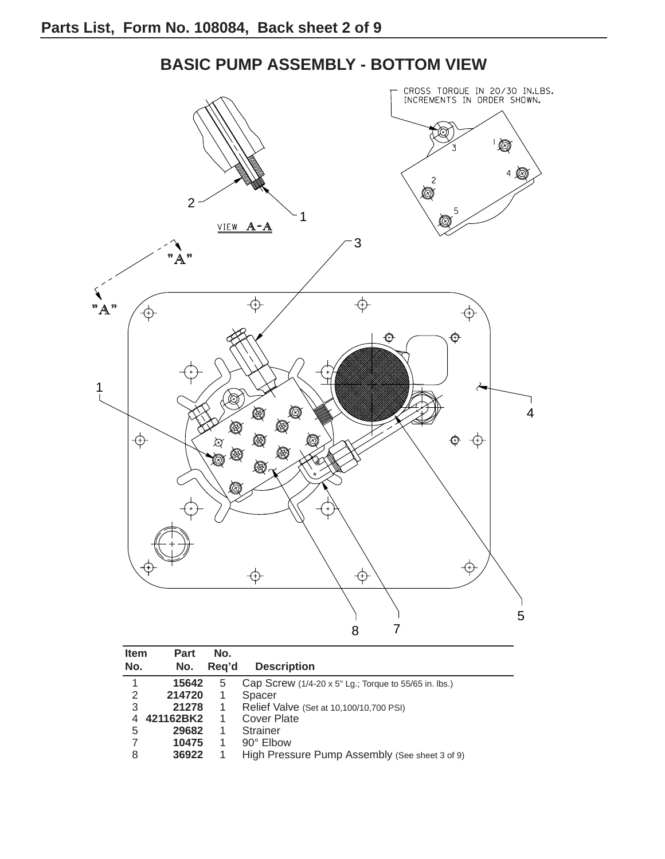#### CROSS TORQUE IN 20/30 IN.LBS.<br>INCREMENTS IN ORDER SHOWN. CO  $\overline{\mathbb{Q}}$  $4<sup>Q</sup>$  $\overline{c}$  $\bigcircled{)}$ 2 5 1 Ø VIEW A-A 3 "À  $\overrightarrow{\mathrm{C}}$ ↔  $A$ <sup>99</sup>  $\oplus$  $\overline{\bigoplus}$  $\bigoplus$ ⊕ 1 Þ 8 4  $\bigotimes$  $\overrightarrow{\oplus}$  $\bigcircledR$  $\hat{\varphi}$  $\overline{\bigoplus}$  $\gtrapprox$ Q  $\mathscr{B}^{\mathscr{B}}$ Ø  $\bigotimes$ Ø ↔  $\overline{\bigoplus}$  $\overline{\bigoplus}$ 5 8 7

#### **BASIC PUMP ASSEMBLY - BOTTOM VIEW**

| <b>Item</b><br>No. | Part<br>No. | No.<br>Reg'd | <b>Description</b>                                    |
|--------------------|-------------|--------------|-------------------------------------------------------|
|                    | 15642       | 5            | Cap Screw (1/4-20 x 5" Lg.; Torque to 55/65 in. lbs.) |
| 2                  | 214720      |              | Spacer                                                |
| 3                  | 21278       |              | Relief Valve (Set at 10,100/10,700 PSI)               |
|                    | 421162BK2   |              | <b>Cover Plate</b>                                    |
| 5                  | 29682       |              | <b>Strainer</b>                                       |
| 7                  | 10475       |              | 90° Elbow                                             |
| 8                  | 36922       |              | High Pressure Pump Assembly (See sheet 3 of 9)        |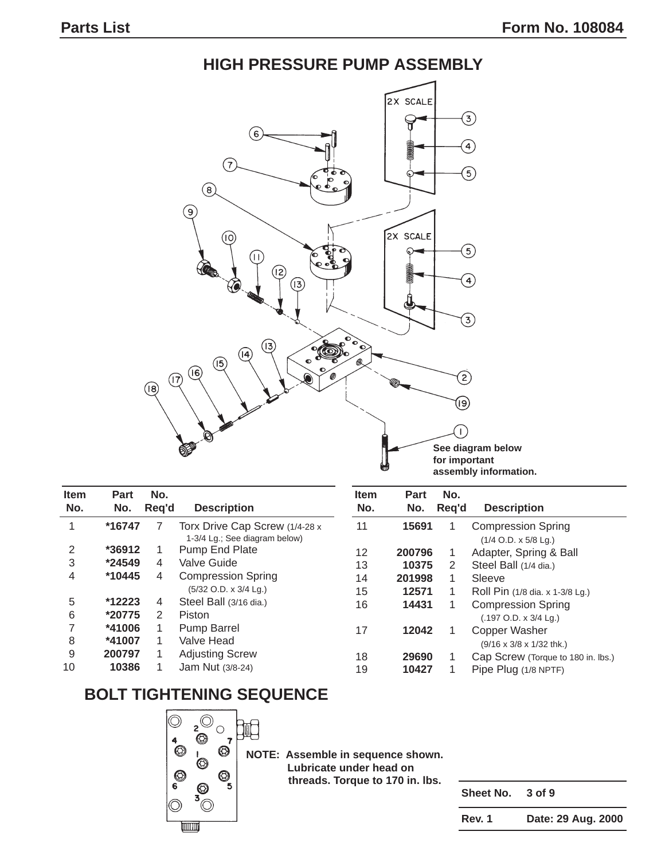#### **HIGH PRESSURE PUMP ASSEMBLY**



| <b>Item</b><br>No. | <b>Part</b><br>No. | No.<br>Rea'd | <b>Description</b>                                              | <b>Item</b><br>No. | Part<br>No. | No.<br>Reg'd | <b>Description</b>                                    |
|--------------------|--------------------|--------------|-----------------------------------------------------------------|--------------------|-------------|--------------|-------------------------------------------------------|
|                    | *16747             |              | Torx Drive Cap Screw (1/4-28 x<br>1-3/4 Lg.; See diagram below) | 11                 | 15691       |              | <b>Compression Spring</b><br>$(1/4$ O.D. x $5/8$ Lg.) |
| 2                  | $*36912$           |              | <b>Pump End Plate</b>                                           | 12                 | 200796      |              | Adapter, Spring & Ball                                |
| 3                  | *24549             | 4            | Valve Guide                                                     | 13                 | 10375       | 2            | Steel Ball (1/4 dia.)                                 |
| 4                  | *10445             | 4            | <b>Compression Spring</b>                                       | 14                 | 201998      |              | Sleeve                                                |
|                    |                    |              | (5/32 O.D. x 3/4 Lg.)                                           | 15                 | 12571       |              | Roll Pin (1/8 dia. x 1-3/8 Lg.)                       |
| 5                  | *12223             | 4            | Steel Ball (3/16 dia.)                                          | 16                 | 14431       |              | <b>Compression Spring</b>                             |
| 6                  | *20775             | 2            | Piston                                                          |                    |             |              | $(.197 \text{ O.D.} \times 3/4 \text{ Lg.})$          |
|                    | *41006             |              | <b>Pump Barrel</b>                                              | 17                 | 12042       |              | Copper Washer                                         |
| 8                  | *41007             |              | Valve Head                                                      |                    |             |              | $(9/16 \times 3/8 \times 1/32$ thk.)                  |
| 9                  | 200797             |              | <b>Adjusting Screw</b>                                          | 18                 | 29690       |              | Cap Screw (Torque to 180 in. lbs.)                    |
| 10                 | 10386              |              | Jam Nut (3/8-24)                                                | 19                 | 10427       |              | Pipe Plug (1/8 NPTF)                                  |

## **BOLT TIGHTENING SEQUENCE**



**NOTE: Assemble in sequence shown. Lubricate under head on threads. Torque to 170 in. lbs.**

| Sheet No. | 3 of 9             |
|-----------|--------------------|
| Rev. 1    | Date: 29 Aug. 2000 |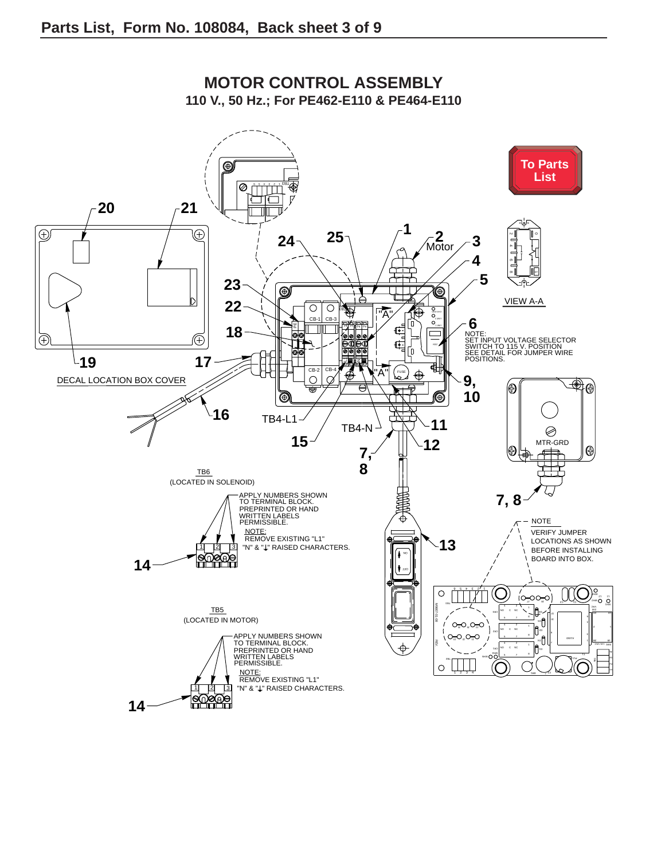<span id="page-5-0"></span>

# **MOTOR CONTROL ASSEMBLY**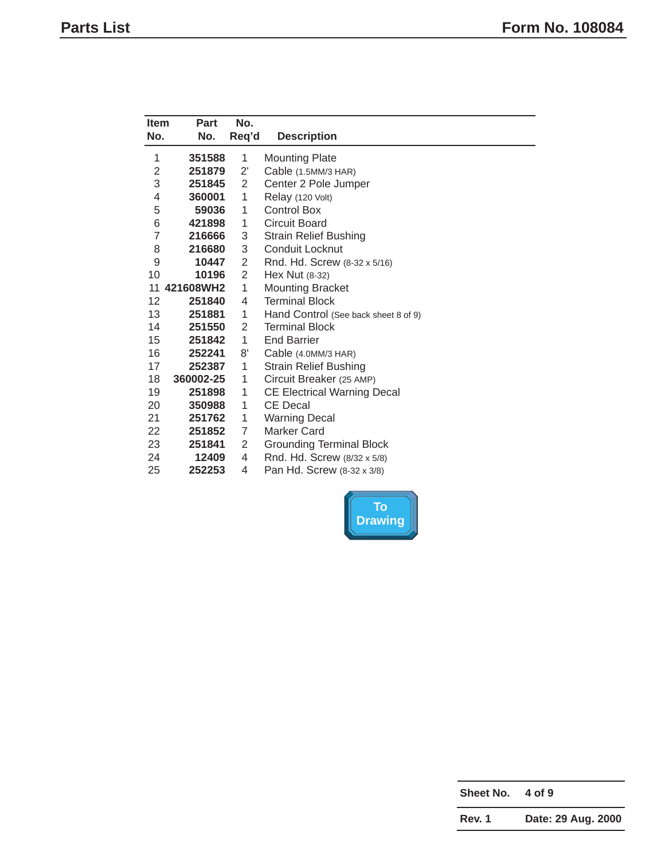<span id="page-6-0"></span>

| <b>Item</b> | <b>Part</b>  | No.            |                                      |
|-------------|--------------|----------------|--------------------------------------|
| No.         | No.          | Req'd          | <b>Description</b>                   |
| 1           | 351588       | 1              | <b>Mounting Plate</b>                |
| 2           | 251879       | $2^{\prime}$   | Cable (1.5MM/3 HAR)                  |
| 3           | 251845       | 2              | Center 2 Pole Jumper                 |
| 4           | 360001       | 1              | Relay (120 Volt)                     |
| 5           | 59036        | 1              | <b>Control Box</b>                   |
| 6           | 421898       | 1              | <b>Circuit Board</b>                 |
| 7           | 216666       | 3              | <b>Strain Relief Bushing</b>         |
| 8           | 216680       | 3              | <b>Conduit Locknut</b>               |
| 9           | 10447        | 2              | Rnd. Hd. Screw (8-32 x 5/16)         |
| 10          | 10196        | $\overline{2}$ | Hex Nut (8-32)                       |
|             | 11 421608WH2 | 1              | <b>Mounting Bracket</b>              |
| 12          | 251840       | 4              | <b>Terminal Block</b>                |
| 13          | 251881       | 1              | Hand Control (See back sheet 8 of 9) |
| 14          | 251550       | 2              | <b>Terminal Block</b>                |
| 15          | 251842       | 1              | <b>End Barrier</b>                   |
| 16          | 252241       | 8'             | Cable (4.0MM/3 HAR)                  |
| 17          | 252387       | 1              | <b>Strain Relief Bushing</b>         |
| 18          | 360002-25    | 1              | Circuit Breaker (25 AMP)             |
| 19          | 251898       | 1              | <b>CE Electrical Warning Decal</b>   |
| 20          | 350988       | 1              | <b>CE Decal</b>                      |
| 21          | 251762       | 1              | <b>Warning Decal</b>                 |
| 22          | 251852       | 7              | <b>Marker Card</b>                   |
| 23          | 251841       | $\overline{2}$ | <b>Grounding Terminal Block</b>      |
| 24          | 12409        | 4              | Rnd. Hd. Screw (8/32 x 5/8)          |
| 25          | 252253       | 4              | Pan Hd. Screw (8-32 x 3/8)           |



| <b>Sheet No.</b> | 4 of 9 |  |
|------------------|--------|--|
|                  |        |  |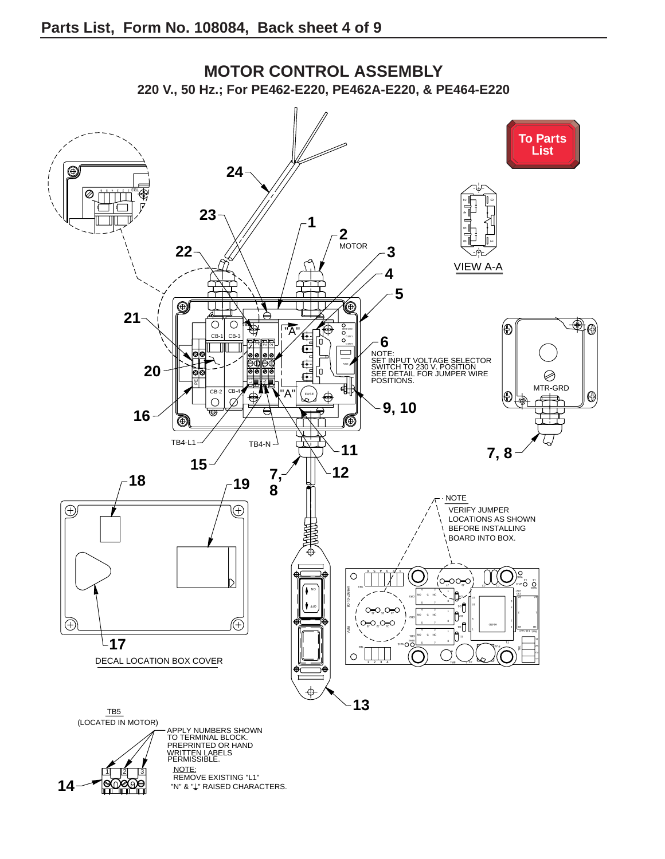<span id="page-7-0"></span>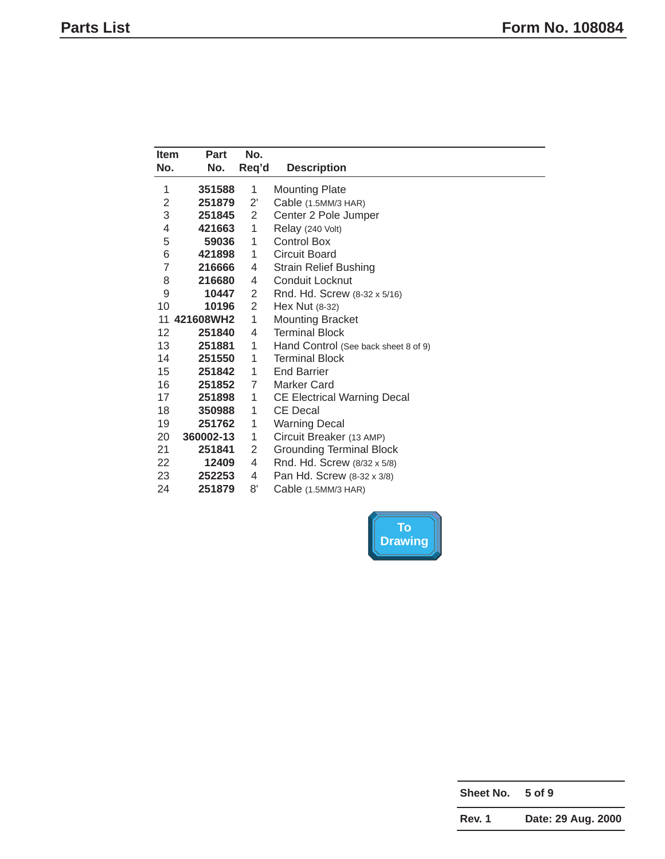<span id="page-8-0"></span>

| <b>Item</b>    | <b>Part</b>  | No.                   |                                      |
|----------------|--------------|-----------------------|--------------------------------------|
| No.            | No.          | Req'd                 | <b>Description</b>                   |
| 1              | 351588       | 1                     | <b>Mounting Plate</b>                |
| 2              | 251879       | $2^{\prime}$          | Cable (1.5MM/3 HAR)                  |
| 3              | 251845       | $\mathbf{2}^{\prime}$ | Center 2 Pole Jumper                 |
| 4              | 421663       | 1                     | Relay (240 Volt)                     |
| 5              | 59036        | 1                     | Control Box                          |
| 6              | 421898       | 1                     | <b>Circuit Board</b>                 |
| $\overline{7}$ | 216666       | 4                     | <b>Strain Relief Bushing</b>         |
| 8              | 216680       | 4                     | <b>Conduit Locknut</b>               |
| 9              | 10447        | 2                     | Rnd. Hd. Screw (8-32 x 5/16)         |
| 10             | 10196        | 2                     | Hex Nut (8-32)                       |
|                | 11 421608WH2 | 1                     | <b>Mounting Bracket</b>              |
| 12             | 251840       | 4                     | <b>Terminal Block</b>                |
| 13             | 251881       | 1                     | Hand Control (See back sheet 8 of 9) |
| 14             | 251550       | 1                     | <b>Terminal Block</b>                |
| 15             | 251842       | 1                     | <b>End Barrier</b>                   |
| 16             | 251852       | 7                     | Marker Card                          |
| 17             | 251898       | 1                     | <b>CE Electrical Warning Decal</b>   |
| 18             | 350988       | 1                     | <b>CE Decal</b>                      |
| 19             | 251762       | 1                     | <b>Warning Decal</b>                 |
| 20             | 360002-13    | 1                     | Circuit Breaker (13 AMP)             |
| 21             | 251841       | 2                     | <b>Grounding Terminal Block</b>      |
| 22             | 12409        | 4                     | Rnd. Hd. Screw (8/32 x 5/8)          |
| 23             | 252253       | 4                     | Pan Hd. Screw (8-32 x 3/8)           |
| 24             | 251879       | 8'                    | Cable (1.5MM/3 HAR)                  |



**Sheet No. 5 of 9**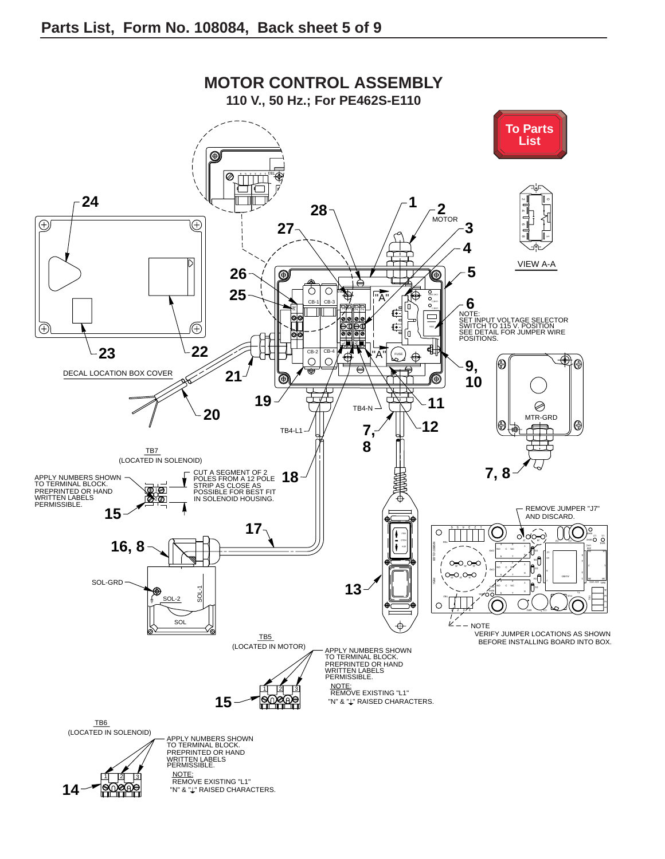<span id="page-9-0"></span>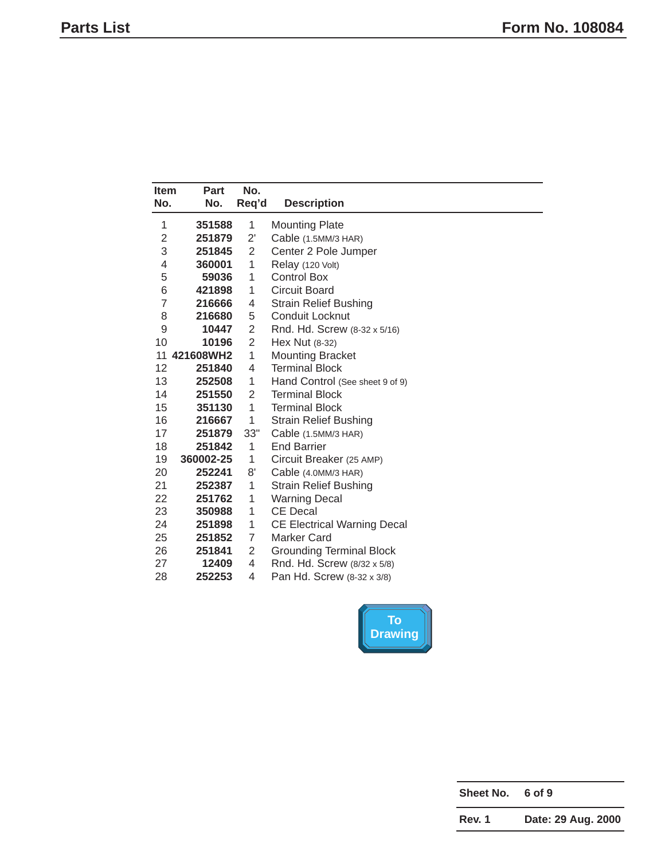<span id="page-10-0"></span>

| <b>Item</b>    | Part         | No.                   |                                    |
|----------------|--------------|-----------------------|------------------------------------|
| No.            | No.          | Req'd                 | <b>Description</b>                 |
| 1              | 351588       | 1                     | <b>Mounting Plate</b>              |
| $\overline{2}$ | 251879       | $2^{\prime}$          | Cable (1.5MM/3 HAR)                |
| 3              | 251845       | $\overline{2}$        | Center 2 Pole Jumper               |
| 4              | 360001       | 1                     | Relay (120 Volt)                   |
| 5              | 59036        | 1                     | <b>Control Box</b>                 |
| 6              | 421898       | 1                     | <b>Circuit Board</b>               |
| $\overline{7}$ | 216666       | 4                     | <b>Strain Relief Bushing</b>       |
| 8              | 216680       | 5                     | <b>Conduit Locknut</b>             |
| 9              | 10447        | 2                     | Rnd. Hd. Screw (8-32 x 5/16)       |
| 10             | 10196        | $\overline{2}$        | Hex Nut (8-32)                     |
|                | 11 421608WH2 | 1                     | <b>Mounting Bracket</b>            |
| 12             | 251840       | 4                     | <b>Terminal Block</b>              |
| 13             | 252508       | 1                     | Hand Control (See sheet 9 of 9)    |
| 14             | 251550       | $\mathbf{2}^{\prime}$ | <b>Terminal Block</b>              |
| 15             | 351130       | 1                     | <b>Terminal Block</b>              |
| 16             | 216667       | 1                     | <b>Strain Relief Bushing</b>       |
| 17             | 251879       | 33"                   | Cable (1.5MM/3 HAR)                |
| 18             | 251842       | 1                     | <b>End Barrier</b>                 |
| 19             | 360002-25    | 1                     | Circuit Breaker (25 AMP)           |
| 20             | 252241       | 8'                    | Cable (4.0MM/3 HAR)                |
| 21             | 252387       | 1                     | <b>Strain Relief Bushing</b>       |
| 22             | 251762       | 1                     | <b>Warning Decal</b>               |
| 23             | 350988       | 1                     | <b>CE Decal</b>                    |
| 24             | 251898       | 1                     | <b>CE Electrical Warning Decal</b> |
| 25             | 251852       | 7                     | <b>Marker Card</b>                 |
| 26             | 251841       | $\overline{2}$        | <b>Grounding Terminal Block</b>    |
| 27             | 12409        | 4                     | Rnd. Hd. Screw (8/32 x 5/8)        |
| 28             | 252253       | 4                     | Pan Hd. Screw (8-32 x 3/8)         |



**Sheet No. 6 of 9**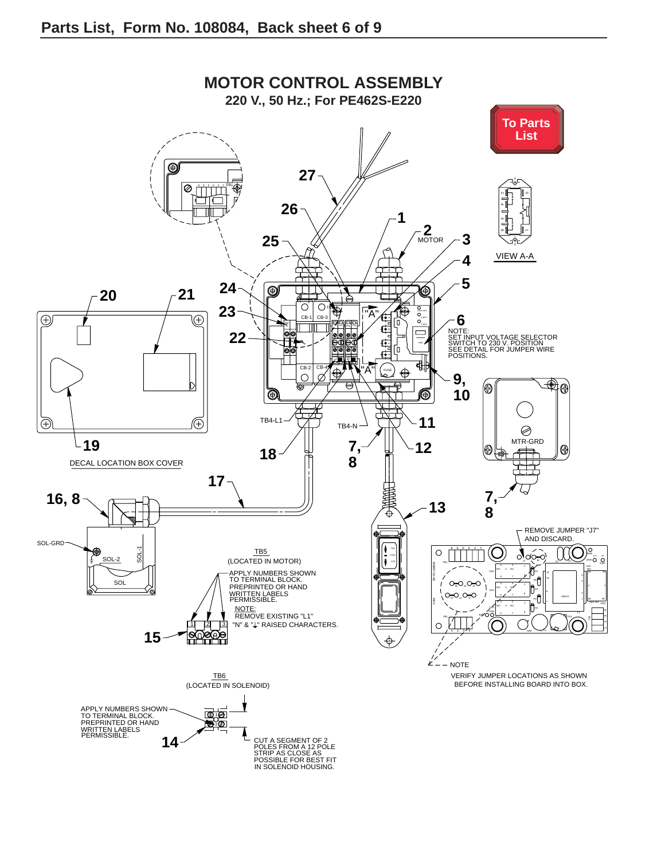<span id="page-11-0"></span>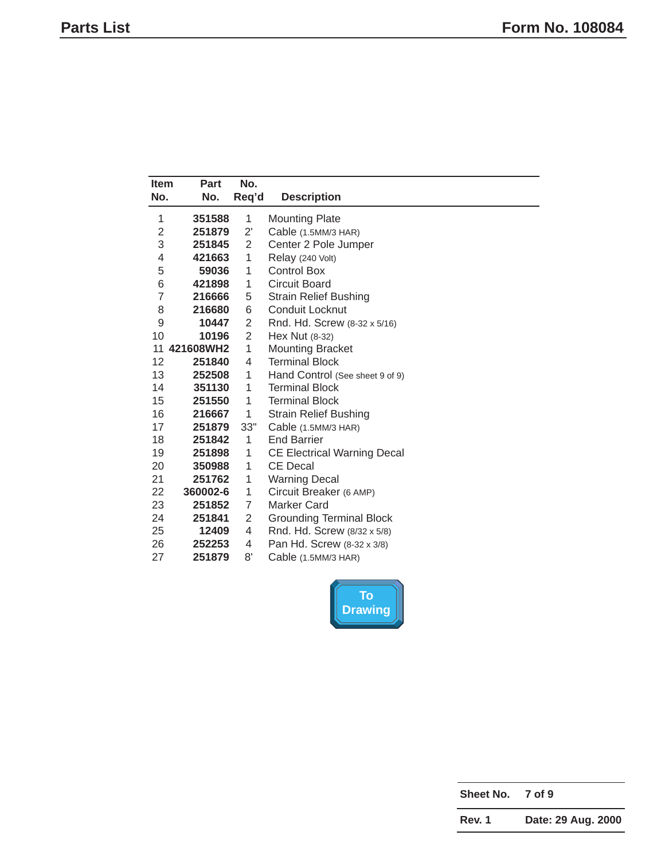<span id="page-12-0"></span>

| Item           | <b>Part</b>  | No.            |                                    |
|----------------|--------------|----------------|------------------------------------|
| No.            | No.          | Req'd          | <b>Description</b>                 |
| 1              | 351588       | 1              | <b>Mounting Plate</b>              |
| 2              | 251879       | $2^{\prime}$   | Cable (1.5MM/3 HAR)                |
| 3              | 251845       | 2              | Center 2 Pole Jumper               |
| 4              | 421663       | 1              | Relay (240 Volt)                   |
| 5              | 59036        | 1              | <b>Control Box</b>                 |
| 6              | 421898       | 1              | <b>Circuit Board</b>               |
| $\overline{7}$ | 216666       | 5              | <b>Strain Relief Bushing</b>       |
| 8              | 216680       | 6              | Conduit Locknut                    |
| 9              | 10447        | 2              | Rnd. Hd. Screw (8-32 x 5/16)       |
| 10             | 10196        | $\overline{2}$ | Hex Nut (8-32)                     |
|                | 11 421608WH2 | 1              | <b>Mounting Bracket</b>            |
| 12             | 251840       | 4              | <b>Terminal Block</b>              |
| 13             | 252508       | 1              | Hand Control (See sheet 9 of 9)    |
| 14             | 351130       | 1              | <b>Terminal Block</b>              |
| 15             | 251550       | 1              | <b>Terminal Block</b>              |
| 16             | 216667       | 1              | <b>Strain Relief Bushing</b>       |
| 17             | 251879       | 33"            | Cable (1.5MM/3 HAR)                |
| 18             | 251842       | 1              | <b>End Barrier</b>                 |
| 19             | 251898       | 1              | <b>CE Electrical Warning Decal</b> |
| 20             | 350988       | 1              | <b>CE Decal</b>                    |
| 21             | 251762       | 1              | <b>Warning Decal</b>               |
| 22             | 360002-6     | 1              | Circuit Breaker (6 AMP)            |
| 23             | 251852       | 7              | Marker Card                        |
| 24             | 251841       | 2              | <b>Grounding Terminal Block</b>    |
| 25             | 12409        | 4              | Rnd. Hd. Screw (8/32 x 5/8)        |
| 26             | 252253       | 4              | Pan Hd. Screw (8-32 x 3/8)         |
| 27             | 251879       | 8'             | Cable (1.5MM/3 HAR)                |



**Sheet No. 7 of 9**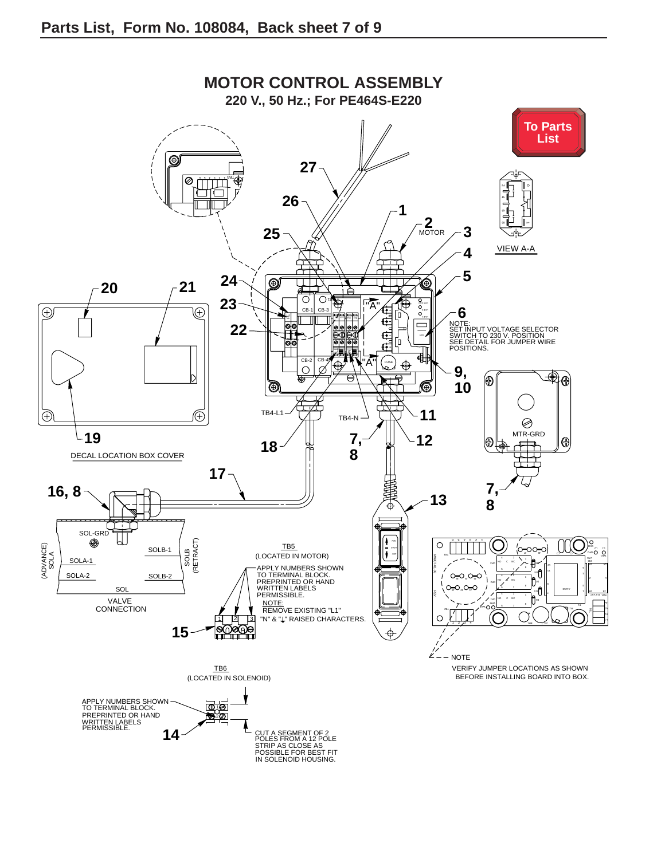<span id="page-13-0"></span>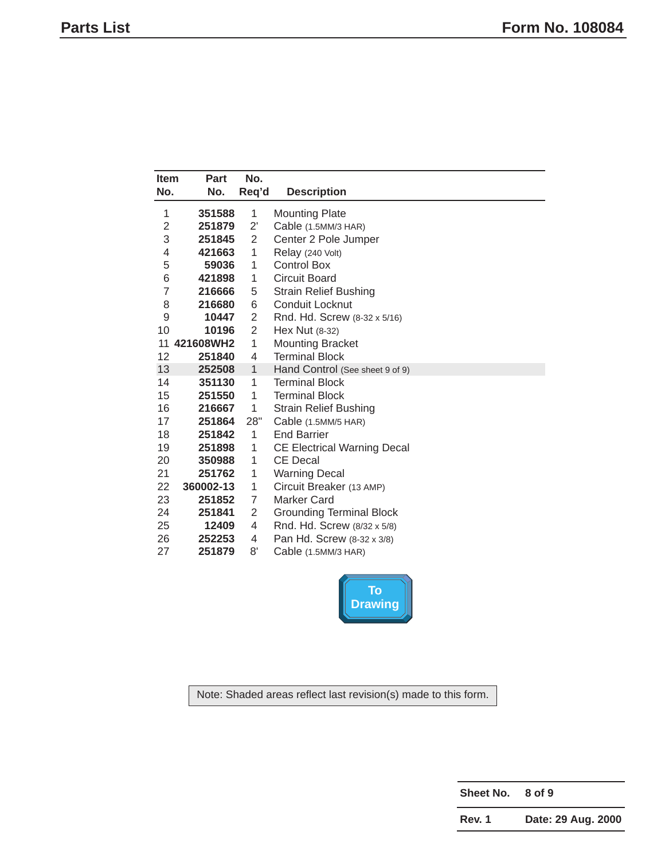<span id="page-14-0"></span>

| <b>Item</b>    | <b>Part</b>  | No.            |                                    |
|----------------|--------------|----------------|------------------------------------|
| No.            | No.          | Req'd          | <b>Description</b>                 |
| 1              | 351588       | 1              | <b>Mounting Plate</b>              |
| 2              | 251879       | $2^{\prime}$   | Cable (1.5MM/3 HAR)                |
| 3              | 251845       | 2              | Center 2 Pole Jumper               |
| 4              | 421663       | $\mathbf{1}$   | Relay (240 Volt)                   |
| 5              | 59036        | 1              | <b>Control Box</b>                 |
| 6              | 421898       | 1              | <b>Circuit Board</b>               |
| $\overline{7}$ | 216666       | 5              | <b>Strain Relief Bushing</b>       |
| 8              | 216680       | 6              | <b>Conduit Locknut</b>             |
| 9              | 10447        | 2              | Rnd. Hd. Screw (8-32 x 5/16)       |
| 10             | 10196        | $\overline{2}$ | Hex Nut (8-32)                     |
|                | 11 421608WH2 | 1              | <b>Mounting Bracket</b>            |
| 12             | 251840       | 4              | <b>Terminal Block</b>              |
| 13             | 252508       | $\mathbf{1}$   | Hand Control (See sheet 9 of 9)    |
| 14             | 351130       | 1              | <b>Terminal Block</b>              |
| 15             | 251550       | 1              | <b>Terminal Block</b>              |
| 16             | 216667       | 1              | <b>Strain Relief Bushing</b>       |
| 17             | 251864       | 28"            | Cable (1.5MM/5 HAR)                |
| 18             | 251842       | 1              | <b>End Barrier</b>                 |
| 19             | 251898       | 1              | <b>CE Electrical Warning Decal</b> |
| 20             | 350988       | 1              | <b>CE Decal</b>                    |
| 21             | 251762       | 1              | <b>Warning Decal</b>               |
| 22             | 360002-13    | 1              | Circuit Breaker (13 AMP)           |
| 23             | 251852       | 7              | Marker Card                        |
| 24             | 251841       | 2              | <b>Grounding Terminal Block</b>    |
| 25             | 12409        | 4              | Rnd. Hd. Screw (8/32 x 5/8)        |
| 26             | 252253       | 4              | Pan Hd. Screw (8-32 x 3/8)         |
| 27             | 251879       | 8'             | Cable (1.5MM/3 HAR)                |



Note: Shaded areas reflect last revision(s) made to this form.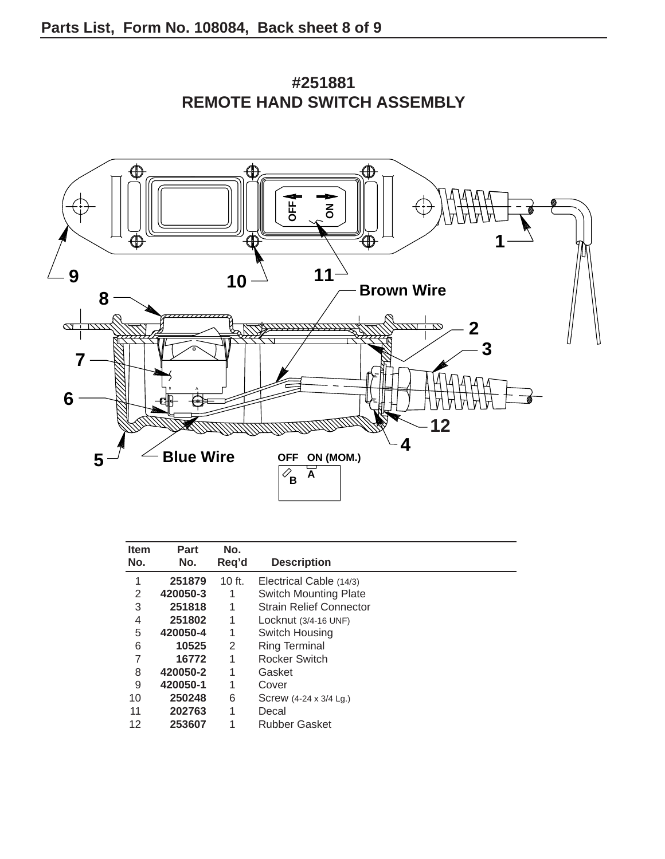

**#251881 REMOTE HAND SWITCH ASSEMBLY**

| Item<br>No. | <b>Part</b><br>No. | No.<br>Req'd | <b>Description</b>             |
|-------------|--------------------|--------------|--------------------------------|
| 1           | 251879             | 10 ft.       | Electrical Cable (14/3)        |
| 2           | 420050-3           | 1            | <b>Switch Mounting Plate</b>   |
| 3           | 251818             | 1            | <b>Strain Relief Connector</b> |
| 4           | 251802             | 1            | Locknut $(3/4-16$ UNF)         |
| 5           | 420050-4           | 1            | Switch Housing                 |
| 6           | 10525              | 2            | <b>Ring Terminal</b>           |
| 7           | 16772              | 1            | <b>Rocker Switch</b>           |
| 8           | 420050-2           | 1            | Gasket                         |
| 9           | 420050-1           | 1            | Cover                          |
| 10          | 250248             | 6            | Screw (4-24 x 3/4 Lg.)         |
| 11          | 202763             | 1            | Decal                          |
| 12          | 253607             | 1            | <b>Rubber Gasket</b>           |